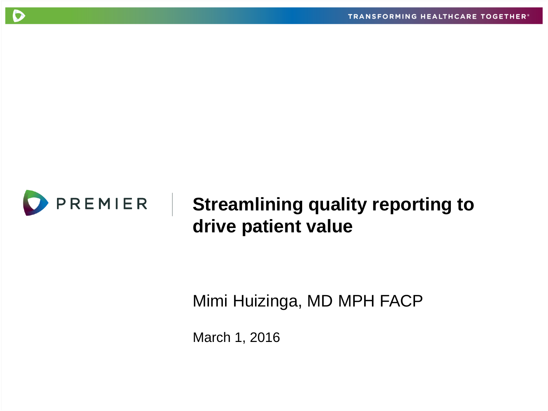

C

## **Streamlining quality reporting to drive patient value**

Mimi Huizinga, MD MPH FACP

March 1, 2016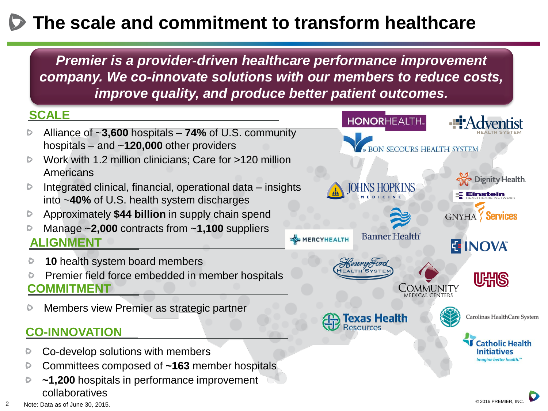# **The scale and commitment to transform healthcare**

*Premier is a provider-driven healthcare performance improvement company. We co-innovate solutions with our members to reduce costs, improve quality, and produce better patient outcomes.*

#### **SCALE**

- Alliance of ~**3,600** hospitals **74%** of U.S. community hospitals – and ~**120,000** other providers
- Work with 1.2 million clinicians; Care for >120 million  $\circ$ Americans
- Integrated clinical, financial, operational data insights  $\triangleright$ into ~**40%** of U.S. health system discharges
- Approximately **\$44 billion** in supply chain spend D
- Manage ~**2,000** contracts from ~**1,100** suppliers **ALIGNMENT**
- **10** health system board members
- Premier field force embedded in member hospitals **COMMITMENT**
- Members view Premier as strategic partner

#### **CO-INNOVATION**

- Co-develop solutions with members
- Committees composed of **~163** member hospitals D
- **~1,200** hospitals in performance improvement collaboratives

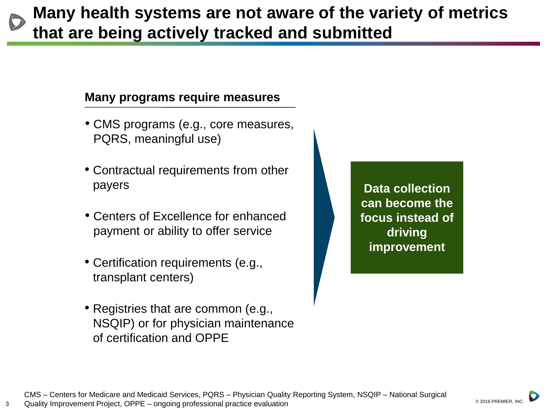### **Many health systems are not aware of the variety of metrics that are being actively tracked and submitted**

#### **Many programs require measures**

- CMS programs (e.g., core measures, PQRS, meaningful use)
- Contractual requirements from other payers
- Centers of Excellence for enhanced payment or ability to offer service
- Certification requirements (e.g., transplant centers)

3

• Registries that are common (e.g., NSQIP) or for physician maintenance of certification and OPPE

**Data collection can become the focus instead of driving improvement**

© 2016 PREMIER, INC.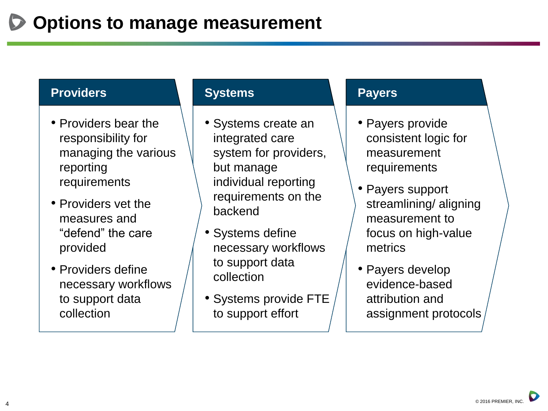#### **Providers**

- Providers bear the responsibility for managing the various reporting requirements
- Providers vet the measures and "defend" the care provided
- Providers define necessary workflows to support data collection

#### **Systems**

- Systems create an integrated care system for providers, but manage individual reporting requirements on the backend
- Systems define necessary workflows to support data collection
- Systems provide FTE to support effort

#### **Payers**

- Payers provide consistent logic for measurement requirements
- Payers support streamlining/ aligning measurement to focus on high-value metrics
- Payers develop evidence-based attribution and assignment protocols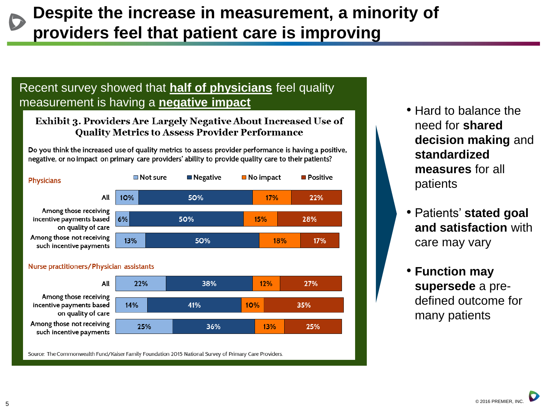### **Despite the increase in measurement, a minority of providers feel that patient care is improving**

#### Recent survey showed that **half of physicians** feel quality measurement is having a **negative impact**

#### Exhibit 3. Providers Are Largely Negative About Increased Use of **Quality Metrics to Assess Provider Performance**

Do you think the increased use of quality metrics to assess provider performance is having a positive, negative, or no impact on primary care providers' ability to provide quality care to their patients?





Source: The Commonwealth Fund/Kaiser Family Foundation 2015 National Survey of Primary Care Providers.

- Hard to balance the need for **shared decision making** and **standardized measures** for all patients
- Patients' **stated goal and satisfaction** with care may vary
- **Function may supersede** a predefined outcome for many patients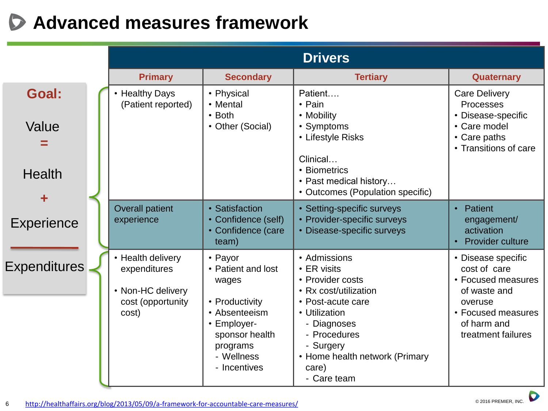# **Advanced measures framework**

|                                 |  |                                                                                      |                                                                                                                                                      | <b>Drivers</b>                                                                                                                                                                                                             |                                                                                                                                                |
|---------------------------------|--|--------------------------------------------------------------------------------------|------------------------------------------------------------------------------------------------------------------------------------------------------|----------------------------------------------------------------------------------------------------------------------------------------------------------------------------------------------------------------------------|------------------------------------------------------------------------------------------------------------------------------------------------|
|                                 |  | <b>Primary</b>                                                                       | <b>Secondary</b>                                                                                                                                     | <b>Tertiary</b>                                                                                                                                                                                                            | <b>Quaternary</b>                                                                                                                              |
| Goal:<br>Value<br><b>Health</b> |  | • Healthy Days<br>(Patient reported)                                                 | • Physical<br>• Mental<br>$\cdot$ Both<br>• Other (Social)                                                                                           | Patient<br>$\cdot$ Pain<br>• Mobility<br>• Symptoms<br>• Lifestyle Risks<br>Clinical<br>• Biometrics<br>• Past medical history<br>• Outcomes (Population specific)                                                         | <b>Care Delivery</b><br>Processes<br>• Disease-specific<br>• Care model<br>• Care paths<br>• Transitions of care                               |
| Experience                      |  | <b>Overall patient</b><br>experience                                                 | • Satisfaction<br>• Confidence (self)<br>• Confidence (care<br>team)                                                                                 | • Setting-specific surveys<br>• Provider-specific surveys<br>• Disease-specific surveys                                                                                                                                    | Patient<br>$\bullet$<br>engagement/<br>activation<br><b>Provider culture</b>                                                                   |
| <b>Expenditures</b>             |  | • Health delivery<br>expenditures<br>• Non-HC delivery<br>cost (opportunity<br>cost) | • Payor<br>• Patient and lost<br>wages<br>• Productivity<br>• Absenteeism<br>• Employer-<br>sponsor health<br>programs<br>- Wellness<br>- Incentives | • Admissions<br>$\cdot$ ER visits<br>• Provider costs<br>• Rx cost/utilization<br>• Post-acute care<br>• Utilization<br>- Diagnoses<br>- Procedures<br>- Surgery<br>• Home health network (Primary<br>care)<br>- Care team | • Disease specific<br>cost of care<br>• Focused measures<br>of waste and<br>overuse<br>• Focused measures<br>of harm and<br>treatment failures |